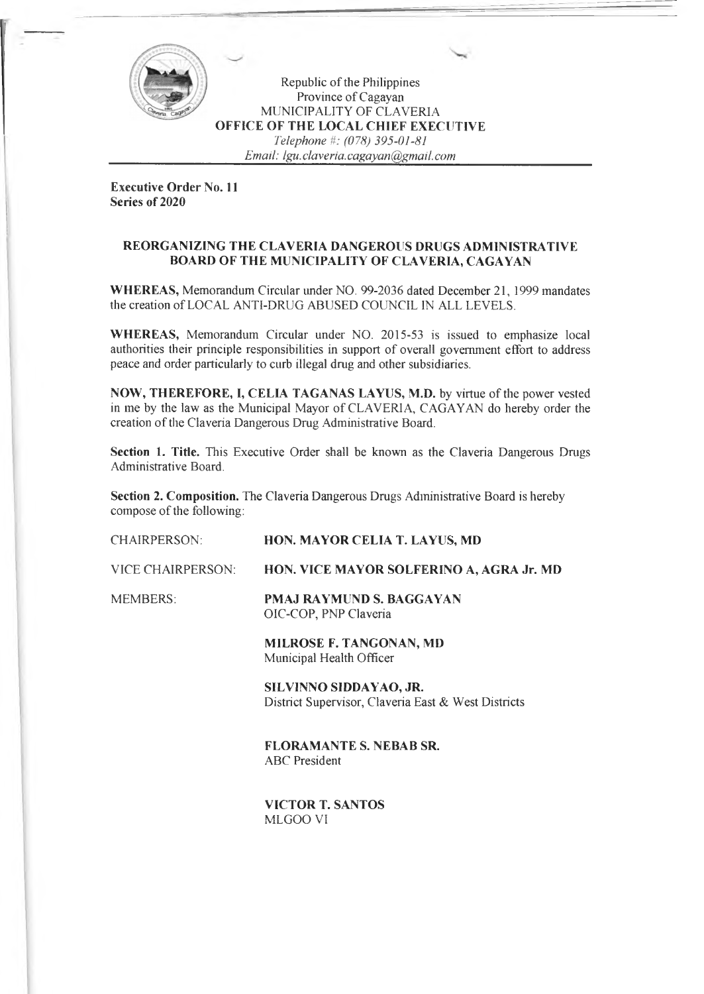

Republic of the Philippines Province of Cagayan MUNICIPALITY OF CLAVERIA **OFFICE OF THE LOCAL CHIEF EXECUTIVE** *Telephone H: (078) 395-01-81 Email: Igu. claveria. cagayan@gmail. com*

**Executive Order No. 11 Series of 2020**

## **REORGANIZING THE CLAVERIA DANGEROUS DRUGS ADMINISTRATIVE BOARD OF THE MUNICIPALITY OF CLAVERIA, CAGAYAN**

**WHEREAS,** Memorandum Circular under NO. 99-2036 dated December 21, 1999 mandates the creation of LOCAL ANTI-DRUG ABUSED COUNCIL IN ALL LEVELS.

**WHEREAS,** Memorandum Circular under NO. 2015-53 is issued to emphasize local authorities their principle responsibilities in support of overall government effort to address peace and order particularly to curb illegal drug and other subsidiaries.

**NOW, THEREFORE, I, CELIA TAGANAS LAYUS, M.D.** by virtue ofthe power vested in me by the law as the Municipal Mayor of CLAVERIA, CAGAYAN do hereby order the creation of the Claveria Dangerous Drug Administrative Board.

**Section 1. Title.** This Executive Order shall be known as the Claveria Dangerous Drugs Administrative Board.

**Section 2. Composition.** The Claveria Dangerous Drugs Administrative Board is hereby compose of the following:

| <b>CHAIRPERSON:</b>      | HON. MAYOR CELIA T. LAYUS, MD                                                 |
|--------------------------|-------------------------------------------------------------------------------|
| <b>VICE CHAIRPERSON:</b> | HON. VICE MAYOR SOLFERINO A, AGRA Jr. MD                                      |
| <b>MEMBERS:</b>          | <b>PMAJ RAYMUND S. BAGGAYAN</b><br>OIC-COP, PNP Claveria                      |
|                          | <b>MILROSE F. TANGONAN, MD</b><br>Municipal Health Officer                    |
|                          | SILVINNO SIDDAYAO, JR.<br>District Supervisor, Claveria East & West Districts |
|                          | <b>FLORAMANTE S. NEBAB SR.</b><br><b>ABC</b> President                        |

**VICTOR T. SANTOS** MLGOO VI